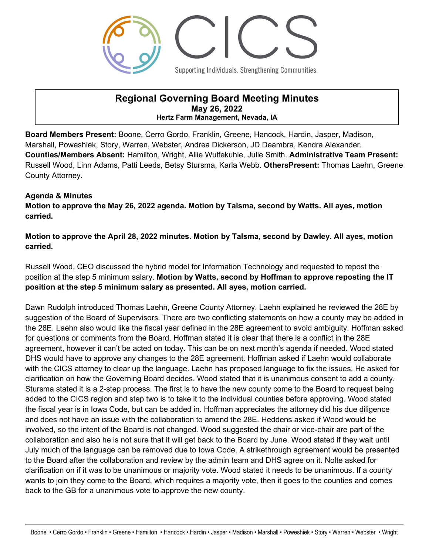

## **Regional Governing Board Meeting Minutes May 26, 2022 Hertz Farm Management, Nevada, IA**

**Board Members Present:** Boone, Cerro Gordo, Franklin, Greene, Hancock, Hardin, Jasper, Madison, Marshall, Poweshiek, Story, Warren, Webster, Andrea Dickerson, JD Deambra, Kendra Alexander. **Counties/Members Absent:** Hamilton, Wright, Allie Wulfekuhle, Julie Smith. **Administrative Team Present:**  Russell Wood, Linn Adams, Patti Leeds, Betsy Stursma, Karla Webb. **OthersPresent:** Thomas Laehn, Greene County Attorney.

## **Agenda & Minutes**

**Motion to approve the May 26, 2022 agenda. Motion by Talsma, second by Watts. All ayes, motion carried.**

**Motion to approve the April 28, 2022 minutes. Motion by Talsma, second by Dawley. All ayes, motion carried.**

Russell Wood, CEO discussed the hybrid model for Information Technology and requested to repost the position at the step 5 minimum salary. **Motion by Watts, second by Hoffman to approve reposting the IT position at the step 5 minimum salary as presented. All ayes, motion carried.**

Dawn Rudolph introduced Thomas Laehn, Greene County Attorney. Laehn explained he reviewed the 28E by suggestion of the Board of Supervisors. There are two conflicting statements on how a county may be added in the 28E. Laehn also would like the fiscal year defined in the 28E agreement to avoid ambiguity. Hoffman asked for questions or comments from the Board. Hoffman stated it is clear that there is a conflict in the 28E agreement, however it can't be acted on today. This can be on next month's agenda if needed. Wood stated DHS would have to approve any changes to the 28E agreement. Hoffman asked if Laehn would collaborate with the CICS attorney to clear up the language. Laehn has proposed language to fix the issues. He asked for clarification on how the Governing Board decides. Wood stated that it is unanimous consent to add a county. Stursma stated it is a 2-step process. The first is to have the new county come to the Board to request being added to the CICS region and step two is to take it to the individual counties before approving. Wood stated the fiscal year is in Iowa Code, but can be added in. Hoffman appreciates the attorney did his due diligence and does not have an issue with the collaboration to amend the 28E. Heddens asked if Wood would be involved, so the intent of the Board is not changed. Wood suggested the chair or vice-chair are part of the collaboration and also he is not sure that it will get back to the Board by June. Wood stated if they wait until July much of the language can be removed due to Iowa Code. A strikethrough agreement would be presented to the Board after the collaboration and review by the admin team and DHS agree on it. Nolte asked for clarification on if it was to be unanimous or majority vote. Wood stated it needs to be unanimous. If a county wants to join they come to the Board, which requires a majority vote, then it goes to the counties and comes back to the GB for a unanimous vote to approve the new county.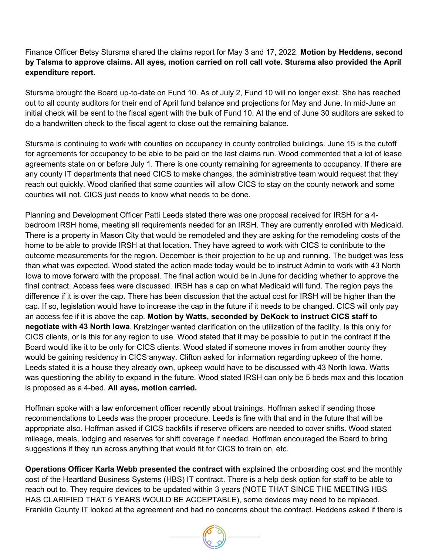## Finance Officer Betsy Stursma shared the claims report for May 3 and 17, 2022. **Motion by Heddens, second by Talsma to approve claims. All ayes, motion carried on roll call vote. Stursma also provided the April expenditure report.**

Stursma brought the Board up-to-date on Fund 10. As of July 2, Fund 10 will no longer exist. She has reached out to all county auditors for their end of April fund balance and projections for May and June. In mid-June an initial check will be sent to the fiscal agent with the bulk of Fund 10. At the end of June 30 auditors are asked to do a handwritten check to the fiscal agent to close out the remaining balance.

Stursma is continuing to work with counties on occupancy in county controlled buildings. June 15 is the cutoff for agreements for occupancy to be able to be paid on the last claims run. Wood commented that a lot of lease agreements state on or before July 1. There is one county remaining for agreements to occupancy. If there are any county IT departments that need CICS to make changes, the administrative team would request that they reach out quickly. Wood clarified that some counties will allow CICS to stay on the county network and some counties will not. CICS just needs to know what needs to be done.

Planning and Development Officer Patti Leeds stated there was one proposal received for IRSH for a 4 bedroom IRSH home, meeting all requirements needed for an IRSH. They are currently enrolled with Medicaid. There is a property in Mason City that would be remodeled and they are asking for the remodeling costs of the home to be able to provide IRSH at that location. They have agreed to work with CICS to contribute to the outcome measurements for the region. December is their projection to be up and running. The budget was less than what was expected. Wood stated the action made today would be to instruct Admin to work with 43 North Iowa to move forward with the proposal. The final action would be in June for deciding whether to approve the final contract. Access fees were discussed. IRSH has a cap on what Medicaid will fund. The region pays the difference if it is over the cap. There has been discussion that the actual cost for IRSH will be higher than the cap. If so, legislation would have to increase the cap in the future if it needs to be changed. CICS will only pay an access fee if it is above the cap. **Motion by Watts, seconded by DeKock to instruct CICS staff to negotiate with 43 North Iowa**. Kretzinger wanted clarification on the utilization of the facility. Is this only for CICS clients, or is this for any region to use. Wood stated that it may be possible to put in the contract if the Board would like it to be only for CICS clients. Wood stated if someone moves in from another county they would be gaining residency in CICS anyway. Clifton asked for information regarding upkeep of the home. Leeds stated it is a house they already own, upkeep would have to be discussed with 43 North Iowa. Watts was questioning the ability to expand in the future. Wood stated IRSH can only be 5 beds max and this location is proposed as a 4-bed. **All ayes, motion carried.**

Hoffman spoke with a law enforcement officer recently about trainings. Hoffman asked if sending those recommendations to Leeds was the proper procedure. Leeds is fine with that and in the future that will be appropriate also. Hoffman asked if CICS backfills if reserve officers are needed to cover shifts. Wood stated mileage, meals, lodging and reserves for shift coverage if needed. Hoffman encouraged the Board to bring suggestions if they run across anything that would fit for CICS to train on, etc.

**Operations Officer Karla Webb presented the contract with explained the onboarding cost and the monthly** cost of the Heartland Business Systems (HBS) IT contract. There is a help desk option for staff to be able to reach out to. They require devices to be updated within 3 years (NOTE THAT SINCE THE MEETING HBS HAS CLARIFIED THAT 5 YEARS WOULD BE ACCEPTABLE), some devices may need to be replaced. Franklin County IT looked at the agreement and had no concerns about the contract. Heddens asked if there is